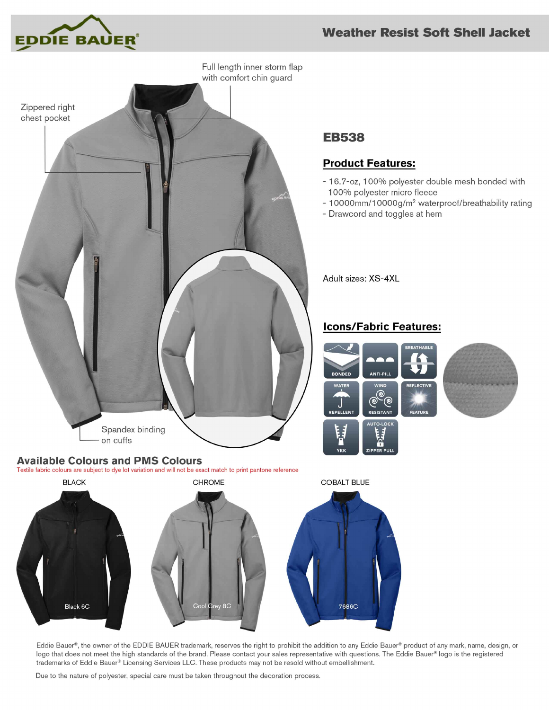



# **EB538**

### **Product Features:**

- 16.7-oz, 100% polyester double mesh bonded with 100% polyester micro fleece
- 10000mm/10000g/m<sup>2</sup> waterproof/breathability rating
- Drawcord and toggles at hem

Adult sizes: XS-4XL

#### **Icons/Fabric Features:**





Eddie Bauer®, the owner of the EDDIE BAUER trademark, reserves the right to prohibit the addition to any Eddie Bauer® product of any mark, name, design, or logo that does not meet the high standards of the brand. Please contact your sales representative with questions. The Eddie Bauer® logo is the registered trademarks of Eddie Bauer® Licensing Services LLC. These products may not be resold without embellishment.

Due to the nature of polyester, special care must be taken throughout the decoration process.